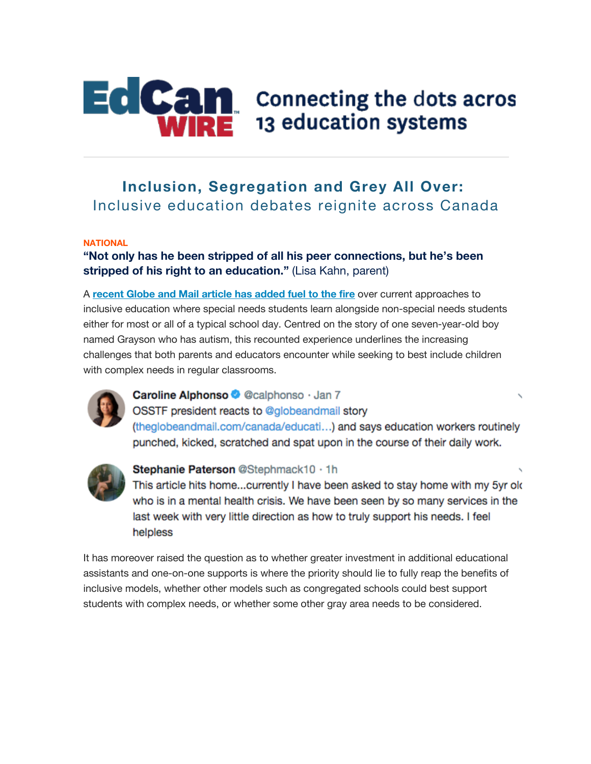

# **EdCan** connecting the dots acros 13 education systems

# **Inclusion, Segregation and Grey All Over:** Inclusive education debates reignite across Canada

#### **NATIONAL**

# **"Not only has he been stripped of all his peer connections, but he's been stripped of his right to an education."** (Lisa Kahn, parent)

A **recent Globe and Mail article has added fuel to the fire** over current approaches to inclusive education where special needs students learn alongside non-special needs students either for most or all of a typical school day. Centred on the story of one seven-year-old boy named Grayson who has autism, this recounted experience underlines the increasing challenges that both parents and educators encounter while seeking to best include children with complex needs in regular classrooms.



# Caroline Alphonso @ @calphonso · Jan 7

OSSTF president reacts to @globeandmail story (theglobeandmail.com/canada/educati...) and says education workers routinely punched, kicked, scratched and spat upon in the course of their daily work.



#### Stephanie Paterson @Stephmack10 · 1h

This article hits home...currently I have been asked to stay home with my 5yr old who is in a mental health crisis. We have been seen by so many services in the last week with very little direction as how to truly support his needs. I feel helpless

It has moreover raised the question as to whether greater investment in additional educational assistants and one-on-one supports is where the priority should lie to fully reap the benefits of inclusive models, whether other models such as congregated schools could best support students with complex needs, or whether some other gray area needs to be considered.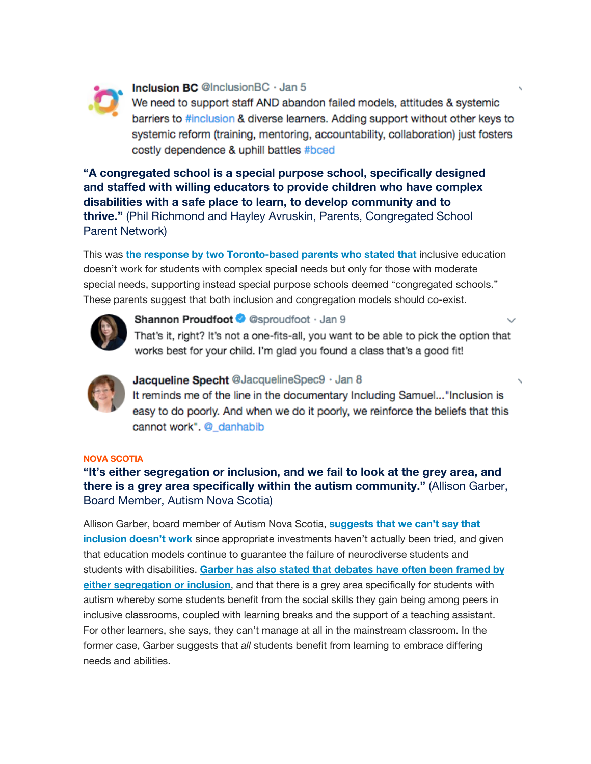

#### Inclusion BC @InclusionBC · Jan 5

We need to support staff AND abandon failed models, attitudes & systemic barriers to #inclusion & diverse learners. Adding support without other keys to systemic reform (training, mentoring, accountability, collaboration) just fosters costly dependence & uphill battles #bced

**"A congregated school is a special purpose school, specifically designed and staffed with willing educators to provide children who have complex disabilities with a safe place to learn, to develop community and to thrive."** (Phil Richmond and Hayley Avruskin, Parents, Congregated School Parent Network)

This was **the response by two Toronto-based parents who stated that** inclusive education doesn't work for students with complex special needs but only for those with moderate special needs, supporting instead special purpose schools deemed "congregated schools." These parents suggest that both inclusion and congregation models should co-exist.



#### Shannon Proudfoot @ @sproudfoot · Jan 9

That's it, right? It's not a one-fits-all, you want to be able to pick the option that works best for your child. I'm glad you found a class that's a good fit!



# Jacqueline Specht @JacquelineSpec9 · Jan 8

It reminds me of the line in the documentary Including Samuel..."Inclusion is easy to do poorly. And when we do it poorly, we reinforce the beliefs that this cannot work". @\_danhabib

#### **NOVA SCOTIA**

# **"It's either segregation or inclusion, and we fail to look at the grey area, and there is a grey area specifically within the autism community."** (Allison Garber, Board Member, Autism Nova Scotia)

Allison Garber, board member of Autism Nova Scotia, **suggests that we can't say that inclusion doesn't work** since appropriate investments haven't actually been tried, and given that education models continue to guarantee the failure of neurodiverse students and students with disabilities. **Garber has also stated that debates have often been framed by either segregation or inclusion**, and that there is a grey area specifically for students with autism whereby some students benefit from the social skills they gain being among peers in inclusive classrooms, coupled with learning breaks and the support of a teaching assistant. For other learners, she says, they can't manage at all in the mainstream classroom. In the former case, Garber suggests that *all* students benefit from learning to embrace differing needs and abilities.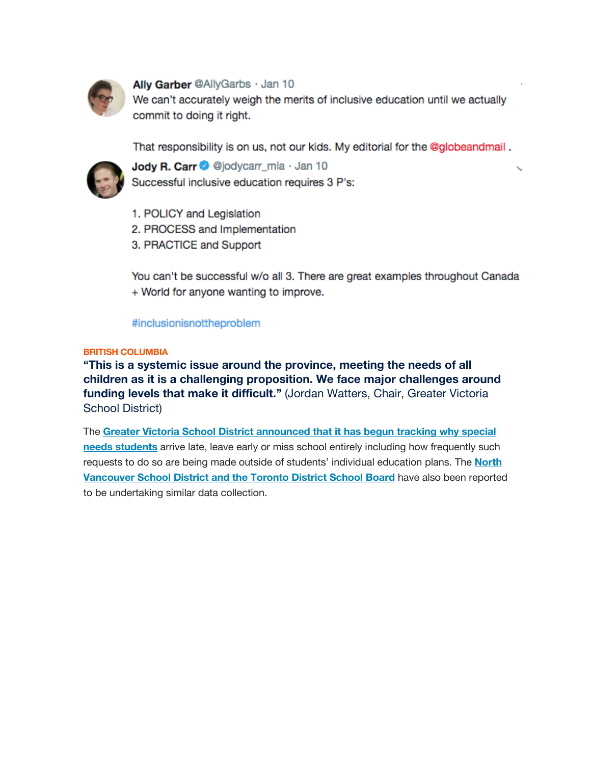

## Ally Garber @AllyGarbs · Jan 10

We can't accurately weigh the merits of inclusive education until we actually commit to doing it right.

That responsibility is on us, not our kids. My editorial for the @globeandmail.



Jody R. Carr @ @jodycarr\_mla · Jan 10 Successful inclusive education requires 3 P's:

- 1. POLICY and Legislation
- 2. PROCESS and Implementation
- 3. PRACTICE and Support

You can't be successful w/o all 3. There are great examples throughout Canada + World for anyone wanting to improve.

#### #inclusionisnottheproblem

#### **BRITISH COLUMBIA**

**"This is a systemic issue around the province, meeting the needs of all children as it is a challenging proposition. We face major challenges around funding levels that make it difficult."** (Jordan Watters, Chair, Greater Victoria School District)

The **Greater Victoria School District announced that it has begun tracking why special needs students** arrive late, leave early or miss school entirely including how frequently such requests to do so are being made outside of students' individual education plans. The **North Vancouver School District and the Toronto District School Board** have also been reported to be undertaking similar data collection.